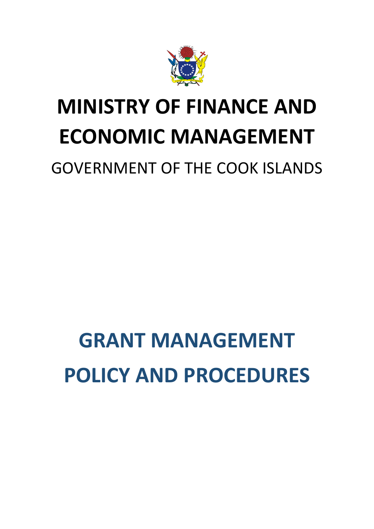

## **MINISTRY OF FINANCE AND ECONOMIC MANAGEMENT**

### GOVERNMENT OF THE COOK ISLANDS

# **GRANT MANAGEMENT POLICY AND PROCEDURES**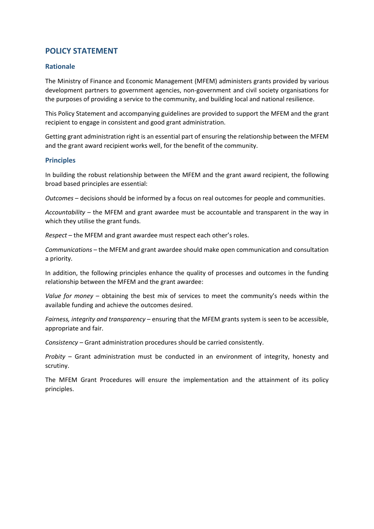#### **POLICY STATEMENT**

#### **Rationale**

The Ministry of Finance and Economic Management (MFEM) administers grants provided by various development partners to government agencies, non-government and civil society organisations for the purposes of providing a service to the community, and building local and national resilience.

This Policy Statement and accompanying guidelines are provided to support the MFEM and the grant recipient to engage in consistent and good grant administration.

Getting grant administration right is an essential part of ensuring the relationship between the MFEM and the grant award recipient works well, for the benefit of the community.

#### **Principles**

In building the robust relationship between the MFEM and the grant award recipient, the following broad based principles are essential:

*Outcomes* – decisions should be informed by a focus on real outcomes for people and communities.

*Accountability* – the MFEM and grant awardee must be accountable and transparent in the way in which they utilise the grant funds.

*Respect* – the MFEM and grant awardee must respect each other's roles.

*Communications* – the MFEM and grant awardee should make open communication and consultation a priority.

In addition, the following principles enhance the quality of processes and outcomes in the funding relationship between the MFEM and the grant awardee:

*Value for money* – obtaining the best mix of services to meet the community's needs within the available funding and achieve the outcomes desired.

*Fairness, integrity and transparency* – ensuring that the MFEM grants system is seen to be accessible, appropriate and fair.

*Consistency* – Grant administration procedures should be carried consistently.

*Probity* – Grant administration must be conducted in an environment of integrity, honesty and scrutiny.

The MFEM Grant Procedures will ensure the implementation and the attainment of its policy principles.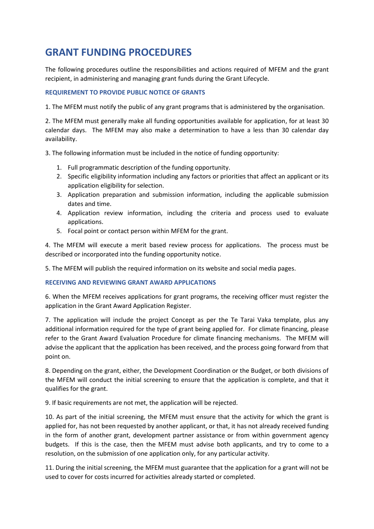#### **GRANT FUNDING PROCEDURES**

The following procedures outline the responsibilities and actions required of MFEM and the grant recipient, in administering and managing grant funds during the Grant Lifecycle.

#### **REQUIREMENT TO PROVIDE PUBLIC NOTICE OF GRANTS**

1. The MFEM must notify the public of any grant programs that is administered by the organisation.

2. The MFEM must generally make all funding opportunities available for application, for at least 30 calendar days. The MFEM may also make a determination to have a less than 30 calendar day availability.

3. The following information must be included in the notice of funding opportunity:

- 1. Full programmatic description of the funding opportunity.
- 2. Specific eligibility information including any factors or priorities that affect an applicant or its application eligibility for selection.
- 3. Application preparation and submission information, including the applicable submission dates and time.
- 4. Application review information, including the criteria and process used to evaluate applications.
- 5. Focal point or contact person within MFEM for the grant.

4. The MFEM will execute a merit based review process for applications. The process must be described or incorporated into the funding opportunity notice.

5. The MFEM will publish the required information on its website and social media pages.

#### **RECEIVING AND REVIEWING GRANT AWARD APPLICATIONS**

6. When the MFEM receives applications for grant programs, the receiving officer must register the application in the Grant Award Application Register.

7. The application will include the project Concept as per the Te Tarai Vaka template, plus any additional information required for the type of grant being applied for. For climate financing, please refer to the Grant Award Evaluation Procedure for climate financing mechanisms. The MFEM will advise the applicant that the application has been received, and the process going forward from that point on.

8. Depending on the grant, either, the Development Coordination or the Budget, or both divisions of the MFEM will conduct the initial screening to ensure that the application is complete, and that it qualifies for the grant.

9. If basic requirements are not met, the application will be rejected.

10. As part of the initial screening, the MFEM must ensure that the activity for which the grant is applied for, has not been requested by another applicant, or that, it has not already received funding in the form of another grant, development partner assistance or from within government agency budgets. If this is the case, then the MFEM must advise both applicants, and try to come to a resolution, on the submission of one application only, for any particular activity.

11. During the initial screening, the MFEM must guarantee that the application for a grant will not be used to cover for costs incurred for activities already started or completed.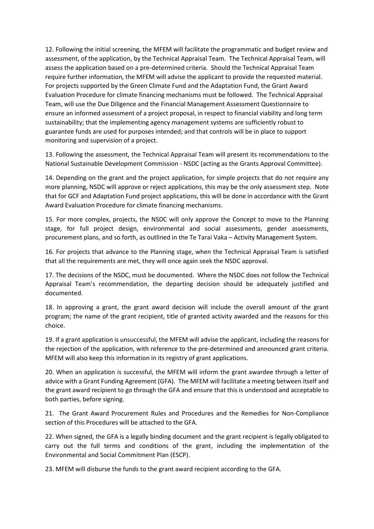12. Following the initial screening, the MFEM will facilitate the programmatic and budget review and assessment, of the application, by the Technical Appraisal Team. The Technical Appraisal Team, will assess the application based on a pre-determined criteria. Should the Technical Appraisal Team require further information, the MFEM will advise the applicant to provide the requested material. For projects supported by the Green Climate Fund and the Adaptation Fund, the Grant Award Evaluation Procedure for climate financing mechanisms must be followed. The Technical Appraisal Team, will use the Due Diligence and the Financial Management Assessment Questionnaire to ensure an informed assessment of a project proposal, in respect to financial viability and long term sustainability; that the implementing agency management systems are sufficiently robust to guarantee funds are used for purposes intended; and that controls will be in place to support monitoring and supervision of a project.

13. Following the assessment, the Technical Appraisal Team will present its recommendations to the National Sustainable Development Commission - NSDC (acting as the Grants Approval Committee).

14. Depending on the grant and the project application, for simple projects that do not require any more planning, NSDC will approve or reject applications, this may be the only assessment step. Note that for GCF and Adaptation Fund project applications, this will be done in accordance with the Grant Award Evaluation Procedure for climate financing mechanisms.

15. For more complex, projects, the NSDC will only approve the Concept to move to the Planning stage, for full project design, environmental and social assessments, gender assessments, procurement plans, and so forth, as outlined in the Te Tarai Vaka – Activity Management System.

16. For projects that advance to the Planning stage, when the Technical Appraisal Team is satisfied that all the requirements are met, they will once again seek the NSDC approval.

17. The decisions of the NSDC, must be documented. Where the NSDC does not follow the Technical Appraisal Team's recommendation, the departing decision should be adequately justified and documented.

18. In approving a grant, the grant award decision will include the overall amount of the grant program; the name of the grant recipient, title of granted activity awarded and the reasons for this choice.

19. If a grant application is unsuccessful, the MFEM will advise the applicant, including the reasons for the rejection of the application, with reference to the pre-determined and announced grant criteria. MFEM will also keep this information in its registry of grant applications.

20. When an application is successful, the MFEM will inform the grant awardee through a letter of advice with a Grant Funding Agreement (GFA). The MFEM will facilitate a meeting between itself and the grant award recipient to go through the GFA and ensure that this is understood and acceptable to both parties, before signing.

21. The Grant Award Procurement Rules and Procedures and the Remedies for Non-Compliance section of this Procedures will be attached to the GFA.

22. When signed, the GFA is a legally binding document and the grant recipient is legally obligated to carry out the full terms and conditions of the grant, including the implementation of the Environmental and Social Commitment Plan (ESCP).

23. MFEM will disburse the funds to the grant award recipient according to the GFA.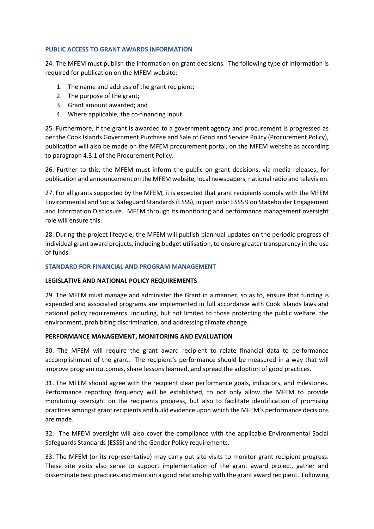#### **PUBLIC ACCESS TO GRANT AWARDS INFORMATION**

24. The MFEM must publish the information on grant decisions. The following type of information is required for publication on the MFEM website:

- 1. The name and address of the grant recipient;
- 2. The purpose of the grant;
- 3. Grant amount awarded; and
- 4. Where applicable, the co-financing input.

25. Furthermore, if the grant is awarded to a government agency and procurement is progressed as per the Cook Islands Government Purchase and Sale of Good and Service Policy (Procurement Policy), publication will also be made on the MFEM procurement portal, on the MFEM website as according to paragraph 4.3.1 of the Procurement Policy.

26. Further to this, the MFEM must inform the public on grant decisions, via media releases, for publication and announcement on the MFEM website, local newspapers, national radio and television.

27. For all grants supported by the MFEM, it is expected that grant recipients comply with the MFEM Environmental and Social Safeguard Standards (ESSS), in particular ESSS 9 on Stakeholder Engagement and Information Disclosure. MFEM through its monitoring and performance management oversight role will ensure this.

28. During the project lifecycle, the MFEM will publish biannual updates on the periodic progress of individual grant award projects, including budget utilisation, to ensure greater transparency in the use of funds.

#### **STANDARD FOR FINANCIAL AND PROGRAM MANAGEMENT**

#### **LEGISLATIVE AND NATIONAL POLICY REQUIREMENTS**

29. The MFEM must manage and administer the Grant in a manner, so as to, ensure that funding is expended and associated programs are implemented in full accordance with Cook Islands laws and national policy requirements, including, but not limited to those protecting the public welfare, the environment, prohibiting discrimination, and addressing climate change.

#### **PERFORMANCE MANAGEMENT, MONITORING AND EVALUATION**

30. The MFEM will require the grant award recipient to relate financial data to performance accomplishment of the grant. The recipient's performance should be measured in a way that will improve program outcomes, share lessons learned, and spread the adoption of good practices.

31. The MFEM should agree with the recipient clear performance goals, indicators, and milestones. Performance reporting frequency will be established, to not only allow the MFEM to provide monitoring oversight on the recipients progress, but also to facilitate identification of promising practices amongst grant recipients and build evidence upon which the MFEM's performance decisions are made.

32. The MFEM oversight will also cover the compliance with the applicable Environmental Social Safeguards Standards (ESSS) and the Gender Policy requirements.

33. The MFEM (or its representative) may carry out site visits to monitor grant recipient progress. These site visits also serve to support implementation of the grant award project, gather and disseminate best practices and maintain a good relationship with the grant award recipient. Following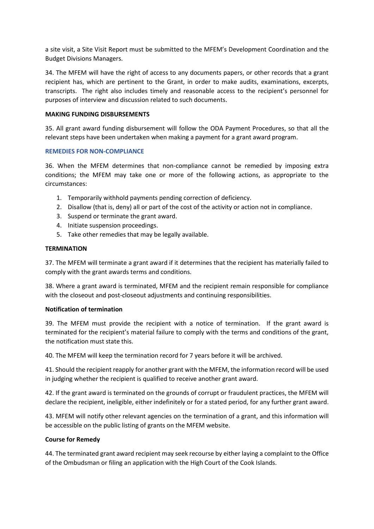a site visit, a Site Visit Report must be submitted to the MFEM's Development Coordination and the Budget Divisions Managers.

34. The MFEM will have the right of access to any documents papers, or other records that a grant recipient has, which are pertinent to the Grant, in order to make audits, examinations, excerpts, transcripts. The right also includes timely and reasonable access to the recipient's personnel for purposes of interview and discussion related to such documents.

#### **MAKING FUNDING DISBURSEMENTS**

35. All grant award funding disbursement will follow the ODA Payment Procedures, so that all the relevant steps have been undertaken when making a payment for a grant award program.

#### **REMEDIES FOR NON-COMPLIANCE**

36. When the MFEM determines that non-compliance cannot be remedied by imposing extra conditions; the MFEM may take one or more of the following actions, as appropriate to the circumstances:

- 1. Temporarily withhold payments pending correction of deficiency.
- 2. Disallow (that is, deny) all or part of the cost of the activity or action not in compliance.
- 3. Suspend or terminate the grant award.
- 4. Initiate suspension proceedings.
- 5. Take other remedies that may be legally available.

#### **TERMINATION**

37. The MFEM will terminate a grant award if it determines that the recipient has materially failed to comply with the grant awards terms and conditions.

38. Where a grant award is terminated, MFEM and the recipient remain responsible for compliance with the closeout and post-closeout adjustments and continuing responsibilities.

#### **Notification of termination**

39. The MFEM must provide the recipient with a notice of termination. If the grant award is terminated for the recipient's material failure to comply with the terms and conditions of the grant, the notification must state this.

40. The MFEM will keep the termination record for 7 years before it will be archived.

41. Should the recipient reapply for another grant with the MFEM, the information record will be used in judging whether the recipient is qualified to receive another grant award.

42. If the grant award is terminated on the grounds of corrupt or fraudulent practices, the MFEM will declare the recipient, ineligible, either indefinitely or for a stated period, for any further grant award.

43. MFEM will notify other relevant agencies on the termination of a grant, and this information will be accessible on the public listing of grants on the MFEM website.

#### **Course for Remedy**

44. The terminated grant award recipient may seek recourse by either laying a complaint to the Office of the Ombudsman or filing an application with the High Court of the Cook Islands.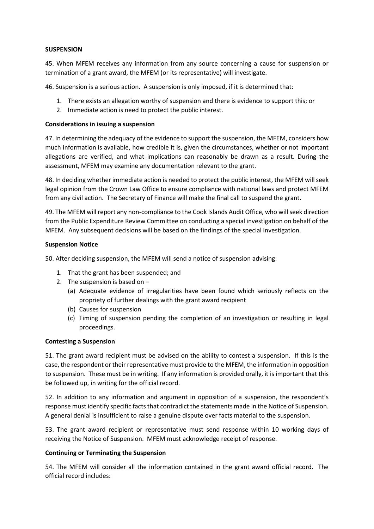#### **SUSPENSION**

45. When MFEM receives any information from any source concerning a cause for suspension or termination of a grant award, the MFEM (or its representative) will investigate.

46. Suspension is a serious action. A suspension is only imposed, if it is determined that:

- 1. There exists an allegation worthy of suspension and there is evidence to support this; or
- 2. Immediate action is need to protect the public interest.

#### **Considerations in issuing a suspension**

47. In determining the adequacy of the evidence to support the suspension, the MFEM, considers how much information is available, how credible it is, given the circumstances, whether or not important allegations are verified, and what implications can reasonably be drawn as a result. During the assessment, MFEM may examine any documentation relevant to the grant.

48. In deciding whether immediate action is needed to protect the public interest, the MFEM will seek legal opinion from the Crown Law Office to ensure compliance with national laws and protect MFEM from any civil action. The Secretary of Finance will make the final call to suspend the grant.

49. The MFEM will report any non-compliance to the Cook Islands Audit Office, who will seek direction from the Public Expenditure Review Committee on conducting a special investigation on behalf of the MFEM. Any subsequent decisions will be based on the findings of the special investigation.

#### **Suspension Notice**

50. After deciding suspension, the MFEM will send a notice of suspension advising:

- 1. That the grant has been suspended; and
- 2. The suspension is based on
	- (a) Adequate evidence of irregularities have been found which seriously reflects on the propriety of further dealings with the grant award recipient
	- (b) Causes for suspension
	- (c) Timing of suspension pending the completion of an investigation or resulting in legal proceedings.

#### **Contesting a Suspension**

51. The grant award recipient must be advised on the ability to contest a suspension. If this is the case, the respondent or their representative must provide to the MFEM, the information in opposition to suspension. These must be in writing. If any information is provided orally, it is important that this be followed up, in writing for the official record.

52. In addition to any information and argument in opposition of a suspension, the respondent's response must identify specific facts that contradict the statements made in the Notice of Suspension. A general denial is insufficient to raise a genuine dispute over facts material to the suspension.

53. The grant award recipient or representative must send response within 10 working days of receiving the Notice of Suspension. MFEM must acknowledge receipt of response.

#### **Continuing or Terminating the Suspension**

54. The MFEM will consider all the information contained in the grant award official record. The official record includes: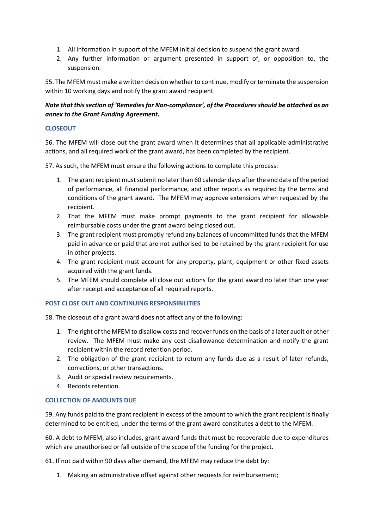- 1. All information in support of the MFEM initial decision to suspend the grant award.
- 2. Any further information or argument presented in support of, or opposition to, the suspension.

55. The MFEM must make a written decision whether to continue, modify or terminate the suspension within 10 working days and notify the grant award recipient.

*Note that this section of 'Remedies for Non-compliance', of the Procedures should be attached as an annex to the Grant Funding Agreement.*

#### **CLOSEOUT**

56. The MFEM will close out the grant award when it determines that all applicable administrative actions, and all required work of the grant award, has been completed by the recipient.

57. As such, the MFEM must ensure the following actions to complete this process:

- 1. The grant recipient must submit no later than 60 calendar days after the end date of the period of performance, all financial performance, and other reports as required by the terms and conditions of the grant award. The MFEM may approve extensions when requested by the recipient.
- 2. That the MFEM must make prompt payments to the grant recipient for allowable reimbursable costs under the grant award being closed out.
- 3. The grant recipient must promptly refund any balances of uncommitted funds that the MFEM paid in advance or paid that are not authorised to be retained by the grant recipient for use in other projects.
- 4. The grant recipient must account for any property, plant, equipment or other fixed assets acquired with the grant funds.
- 5. The MFEM should complete all close out actions for the grant award no later than one year after receipt and acceptance of all required reports.

#### **POST CLOSE OUT AND CONTINUING RESPONSIBILITIES**

58. The closeout of a grant award does not affect any of the following:

- 1. The right of the MFEM to disallow costs and recover funds on the basis of a later audit or other review. The MFEM must make any cost disallowance determination and notify the grant recipient within the record retention period.
- 2. The obligation of the grant recipient to return any funds due as a result of later refunds, corrections, or other transactions.
- 3. Audit or special review requirements.
- 4. Records retention.

#### **COLLECTION OF AMOUNTS DUE**

59. Any funds paid to the grant recipient in excess of the amount to which the grant recipient is finally determined to be entitled, under the terms of the grant award constitutes a debt to the MFEM.

60. A debt to MFEM, also includes, grant award funds that must be recoverable due to expenditures which are unauthorised or fall outside of the scope of the funding for the project.

61. If not paid within 90 days after demand, the MFEM may reduce the debt by:

1. Making an administrative offset against other requests for reimbursement;